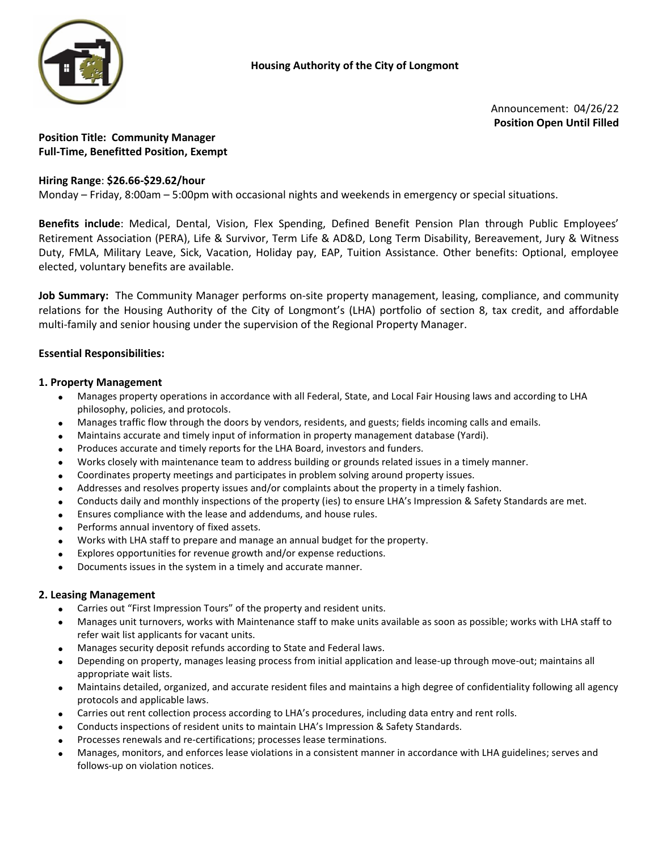

Announcement: 04/26/22 **Position Open Until Filled**

**Position Title: Community Manager Full-Time, Benefitted Position, Exempt** 

## **Hiring Range**: **\$26.66-\$29.62/hour**

Monday – Friday, 8:00am – 5:00pm with occasional nights and weekends in emergency or special situations.

**Benefits include**: Medical, Dental, Vision, Flex Spending, Defined Benefit Pension Plan through Public Employees' Retirement Association (PERA), Life & Survivor, Term Life & AD&D, Long Term Disability, Bereavement, Jury & Witness Duty, FMLA, Military Leave, Sick, Vacation, Holiday pay, EAP, Tuition Assistance. Other benefits: Optional, employee elected, voluntary benefits are available.

**Job Summary:** The Community Manager performs on-site property management, leasing, compliance, and community relations for the Housing Authority of the City of Longmont's (LHA) portfolio of section 8, tax credit, and affordable multi-family and senior housing under the supervision of the Regional Property Manager.

### **Essential Responsibilities:**

#### **1. Property Management**

- Manages property operations in accordance with all Federal, State, and Local Fair Housing laws and according to LHA philosophy, policies, and protocols.
- Manages traffic flow through the doors by vendors, residents, and guests; fields incoming calls and emails.
- Maintains accurate and timely input of information in property management database (Yardi).
- Produces accurate and timely reports for the LHA Board, investors and funders.
- Works closely with maintenance team to address building or grounds related issues in a timely manner.
- Coordinates property meetings and participates in problem solving around property issues.
- Addresses and resolves property issues and/or complaints about the property in a timely fashion.
- Conducts daily and monthly inspections of the property (ies) to ensure LHA's Impression & Safety Standards are met.
- Ensures compliance with the lease and addendums, and house rules.
- Performs annual inventory of fixed assets.
- Works with LHA staff to prepare and manage an annual budget for the property.
- Explores opportunities for revenue growth and/or expense reductions.
- Documents issues in the system in a timely and accurate manner.

#### **2. Leasing Management**

- Carries out "First Impression Tours" of the property and resident units.
- Manages unit turnovers, works with Maintenance staff to make units available as soon as possible; works with LHA staff to refer wait list applicants for vacant units.
- Manages security deposit refunds according to State and Federal laws.
- Depending on property, manages leasing process from initial application and lease-up through move-out; maintains all appropriate wait lists.
- Maintains detailed, organized, and accurate resident files and maintains a high degree of confidentiality following all agency protocols and applicable laws.
- Carries out rent collection process according to LHA's procedures, including data entry and rent rolls.
- Conducts inspections of resident units to maintain LHA's Impression & Safety Standards.
- Processes renewals and re-certifications; processes lease terminations.
- Manages, monitors, and enforces lease violations in a consistent manner in accordance with LHA guidelines; serves and follows-up on violation notices.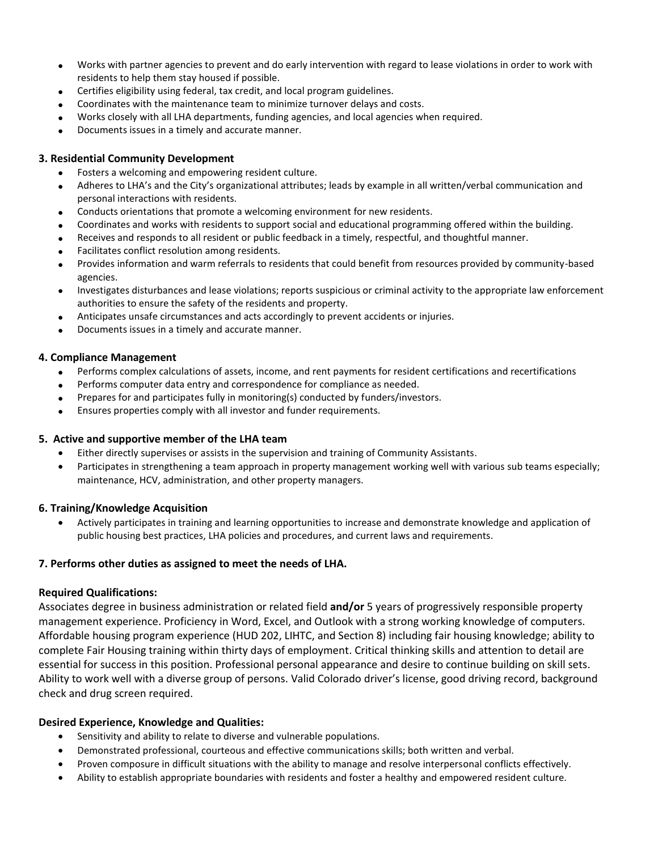- Works with partner agencies to prevent and do early intervention with regard to lease violations in order to work with residents to help them stay housed if possible.
- Certifies eligibility using federal, tax credit, and local program guidelines.
- Coordinates with the maintenance team to minimize turnover delays and costs.
- Works closely with all LHA departments, funding agencies, and local agencies when required.
- Documents issues in a timely and accurate manner.

## **3. Residential Community Development**

- Fosters a welcoming and empowering resident culture.
- Adheres to LHA's and the City's organizational attributes; leads by example in all written/verbal communication and personal interactions with residents.
- Conducts orientations that promote a welcoming environment for new residents.
- Coordinates and works with residents to support social and educational programming offered within the building.
- Receives and responds to all resident or public feedback in a timely, respectful, and thoughtful manner.
- Facilitates conflict resolution among residents.
- Provides information and warm referrals to residents that could benefit from resources provided by community-based agencies.
- Investigates disturbances and lease violations; reports suspicious or criminal activity to the appropriate law enforcement authorities to ensure the safety of the residents and property.
- Anticipates unsafe circumstances and acts accordingly to prevent accidents or injuries.
- Documents issues in a timely and accurate manner.

### **4. Compliance Management**

- Performs complex calculations of assets, income, and rent payments for resident certifications and recertifications
- Performs computer data entry and correspondence for compliance as needed.
- Prepares for and participates fully in monitoring(s) conducted by funders/investors.
- Ensures properties comply with all investor and funder requirements.

# **5. Active and supportive member of the LHA team**

- Either directly supervises or assists in the supervision and training of Community Assistants.
- Participates in strengthening a team approach in property management working well with various sub teams especially; maintenance, HCV, administration, and other property managers.

# **6. Training/Knowledge Acquisition**

 Actively participates in training and learning opportunities to increase and demonstrate knowledge and application of public housing best practices, LHA policies and procedures, and current laws and requirements.

# **7. Performs other duties as assigned to meet the needs of LHA.**

#### **Required Qualifications:**

Associates degree in business administration or related field **and/or** 5 years of progressively responsible property management experience. Proficiency in Word, Excel, and Outlook with a strong working knowledge of computers. Affordable housing program experience (HUD 202, LIHTC, and Section 8) including fair housing knowledge; ability to complete Fair Housing training within thirty days of employment. Critical thinking skills and attention to detail are essential for success in this position. Professional personal appearance and desire to continue building on skill sets. Ability to work well with a diverse group of persons. Valid Colorado driver's license, good driving record, background check and drug screen required.

# **Desired Experience, Knowledge and Qualities:**

- Sensitivity and ability to relate to diverse and vulnerable populations.
- Demonstrated professional, courteous and effective communications skills; both written and verbal.
- Proven composure in difficult situations with the ability to manage and resolve interpersonal conflicts effectively.
- Ability to establish appropriate boundaries with residents and foster a healthy and empowered resident culture.